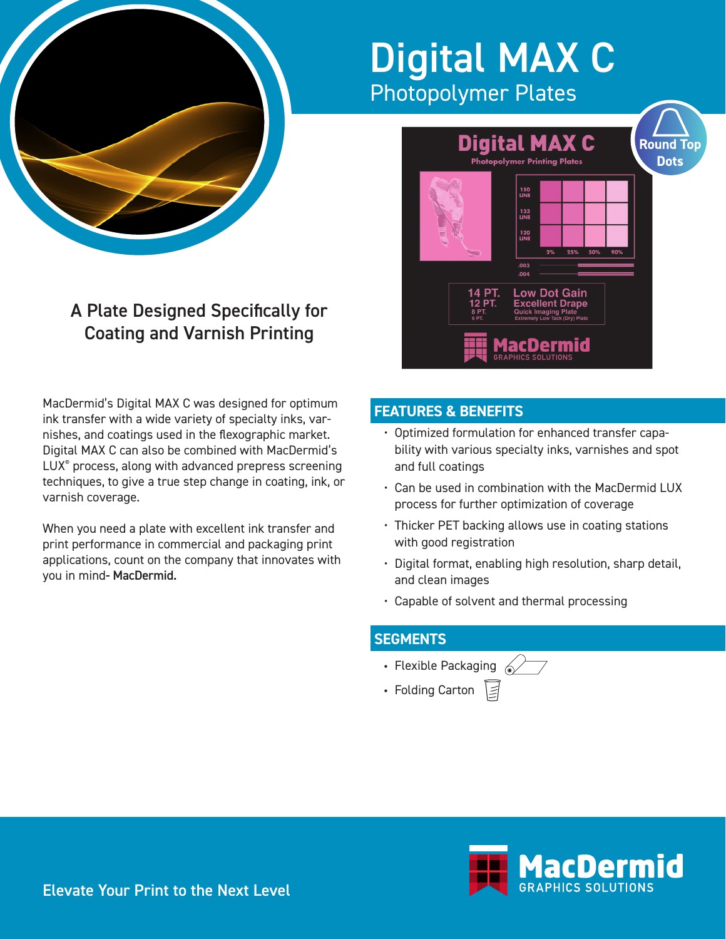

## Digital MAX C Photopolymer Plates

## **Digital MAX C Round Top Dots Photopolymer Printing Plates** 150<br>LINE 133<br>LINE 120<br>LINE  $.003$ **Low Dot Gain Excellent Drape** acDermid

A Plate Designed Specifically for Coating and Varnish Printing

MacDermid's Digital MAX C was designed for optimum ink transfer with a wide variety of specialty inks, varnishes, and coatings used in the flexographic market. Digital MAX C can also be combined with MacDermid's LUX® process, along with advanced prepress screening techniques, to give a true step change in coating, ink, or varnish coverage.

When you need a plate with excellent ink transfer and print performance in commercial and packaging print applications, count on the company that innovates with you in mind- MacDermid.

## **FEATURES & BENEFITS**

- Optimized formulation for enhanced transfer capability with various specialty inks, varnishes and spot and full coatings
- Can be used in combination with the MacDermid LUX process for further optimization of coverage
- Thicker PET backing allows use in coating stations with good registration
- Digital format, enabling high resolution, sharp detail, and clean images
- Capable of solvent and thermal processing

## **SEGMENTS**

- Flexible Packaging  $\textcircled{\scriptsize\diagup}$
- Folding Carton  $\Xi$



Elevate Your Print to the Next Level